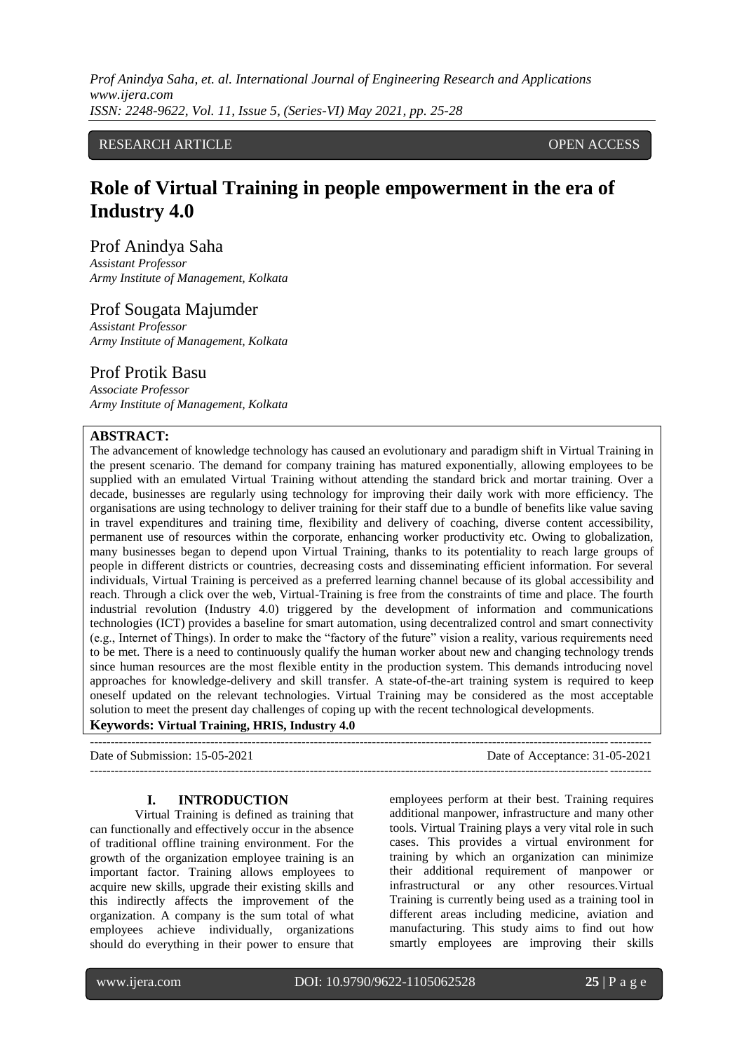*Prof Anindya Saha, et. al. International Journal of Engineering Research and Applications www.ijera.com ISSN: 2248-9622, Vol. 11, Issue 5, (Series-VI) May 2021, pp. 25-28*

## RESEARCH ARTICLE **CONTRACT OPEN ACCESS**

# **Role of Virtual Training in people empowerment in the era of Industry 4.0**

Prof Anindya Saha

*Assistant Professor Army Institute of Management, Kolkata*

## Prof Sougata Majumder

*Assistant Professor Army Institute of Management, Kolkata*

## Prof Protik Basu

*Associate Professor Army Institute of Management, Kolkata*

## **ABSTRACT:**

The advancement of knowledge technology has caused an evolutionary and paradigm shift in Virtual Training in the present scenario. The demand for company training has matured exponentially, allowing employees to be supplied with an emulated Virtual Training without attending the standard brick and mortar training. Over a decade, businesses are regularly using technology for improving their daily work with more efficiency. The organisations are using technology to deliver training for their staff due to a bundle of benefits like value saving in travel expenditures and training time, flexibility and delivery of coaching, diverse content accessibility, permanent use of resources within the corporate, enhancing worker productivity etc. Owing to globalization, many businesses began to depend upon Virtual Training, thanks to its potentiality to reach large groups of people in different districts or countries, decreasing costs and disseminating efficient information. For several individuals, Virtual Training is perceived as a preferred learning channel because of its global accessibility and reach. Through a click over the web, Virtual-Training is free from the constraints of time and place. The fourth industrial revolution (Industry 4.0) triggered by the development of information and communications technologies (ICT) provides a baseline for smart automation, using decentralized control and smart connectivity (e.g., Internet of Things). In order to make the "factory of the future" vision a reality, various requirements need to be met. There is a need to continuously qualify the human worker about new and changing technology trends since human resources are the most flexible entity in the production system. This demands introducing novel approaches for knowledge-delivery and skill transfer. A state-of-the-art training system is required to keep oneself updated on the relevant technologies. Virtual Training may be considered as the most acceptable solution to meet the present day challenges of coping up with the recent technological developments. **Keywords: Virtual Training, HRIS, Industry 4.0**

---------------------------------------------------------------------------------------------------------------------------------------

---------------------------------------------------------------------------------------------------------------------------------------

Date of Submission: 15-05-2021 Date of Acceptance: 31-05-2021

#### **I. INTRODUCTION**

Virtual Training is defined as training that can functionally and effectively occur in the absence of traditional offline training environment. For the growth of the organization employee training is an important factor. Training allows employees to acquire new skills, upgrade their existing skills and this indirectly affects the improvement of the organization. A company is the sum total of what employees achieve individually, organizations should do everything in their power to ensure that employees perform at their best. Training requires additional manpower, infrastructure and many other tools. Virtual Training plays a very vital role in such cases. This provides a virtual environment for training by which an organization can minimize their additional requirement of manpower or infrastructural or any other resources.Virtual Training is currently being used as a training tool in different areas including medicine, aviation and manufacturing. This study aims to find out how smartly employees are improving their skills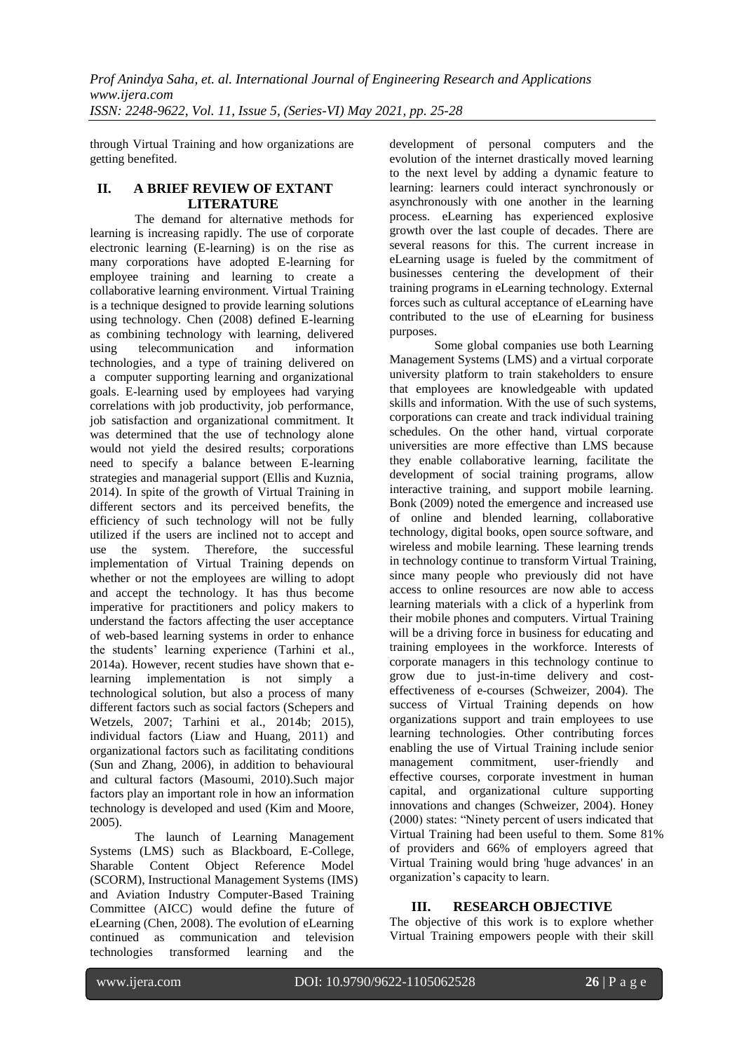through Virtual Training and how organizations are getting benefited.

#### **II. A BRIEF REVIEW OF EXTANT LITERATURE**

The demand for alternative methods for learning is increasing rapidly. The use of corporate electronic learning (E-learning) is on the rise as many corporations have adopted E-learning for employee training and learning to create a collaborative learning environment. Virtual Training is a technique designed to provide learning solutions using technology. Chen (2008) defined E-learning as combining technology with learning, delivered using telecommunication and information technologies, and a type of training delivered on a computer supporting learning and organizational goals. E-learning used by employees had varying correlations with job productivity, job performance, job satisfaction and organizational commitment. It was determined that the use of technology alone would not yield the desired results; corporations need to specify a balance between E-learning strategies and managerial support (Ellis and Kuznia, 2014). In spite of the growth of Virtual Training in different sectors and its perceived benefits, the efficiency of such technology will not be fully utilized if the users are inclined not to accept and use the system. Therefore, the successful implementation of Virtual Training depends on whether or not the employees are willing to adopt and accept the technology. It has thus become imperative for practitioners and policy makers to understand the factors affecting the user acceptance of web-based learning systems in order to enhance the students' learning experience (Tarhini et al., 2014a). However, recent studies have shown that elearning implementation is not simply a technological solution, but also a process of many different factors such as social factors (Schepers and Wetzels, 2007; Tarhini et al., 2014b; 2015), individual factors (Liaw and Huang, 2011) and organizational factors such as facilitating conditions (Sun and Zhang, 2006), in addition to behavioural and cultural factors (Masoumi, 2010).Such major factors play an important role in how an information technology is developed and used (Kim and Moore, 2005).

The launch of Learning Management Systems (LMS) such as Blackboard, E-College, Sharable Content Object Reference Model (SCORM), Instructional Management Systems (IMS) and Aviation Industry Computer-Based Training Committee (AICC) would define the future of eLearning (Chen, 2008). The evolution of eLearning continued as communication and television technologies transformed learning and the

development of personal computers and the evolution of the internet drastically moved learning to the next level by adding a dynamic feature to learning: learners could interact synchronously or asynchronously with one another in the learning process. eLearning has experienced explosive growth over the last couple of decades. There are several reasons for this. The current increase in eLearning usage is fueled by the commitment of businesses centering the development of their training programs in eLearning technology. External forces such as cultural acceptance of eLearning have contributed to the use of eLearning for business purposes.

Some global companies use both Learning Management Systems (LMS) and a virtual corporate university platform to train stakeholders to ensure that employees are knowledgeable with updated skills and information. With the use of such systems, corporations can create and track individual training schedules. On the other hand, virtual corporate universities are more effective than LMS because they enable collaborative learning, facilitate the development of social training programs, allow interactive training, and support mobile learning. Bonk (2009) noted the emergence and increased use of online and blended learning, collaborative technology, digital books, open source software, and wireless and mobile learning. These learning trends in technology continue to transform Virtual Training, since many people who previously did not have access to online resources are now able to access learning materials with a click of a hyperlink from their mobile phones and computers. Virtual Training will be a driving force in business for educating and training employees in the workforce. Interests of corporate managers in this technology continue to grow due to just-in-time delivery and costeffectiveness of e-courses (Schweizer, 2004). The success of Virtual Training depends on how organizations support and train employees to use learning technologies. Other contributing forces enabling the use of Virtual Training include senior management commitment, user-friendly and effective courses, corporate investment in human capital, and organizational culture supporting innovations and changes (Schweizer, 2004). Honey (2000) states: "Ninety percent of users indicated that Virtual Training had been useful to them. Some 81% of providers and 66% of employers agreed that Virtual Training would bring 'huge advances' in an organization's capacity to learn.

### **III. RESEARCH OBJECTIVE**

The objective of this work is to explore whether Virtual Training empowers people with their skill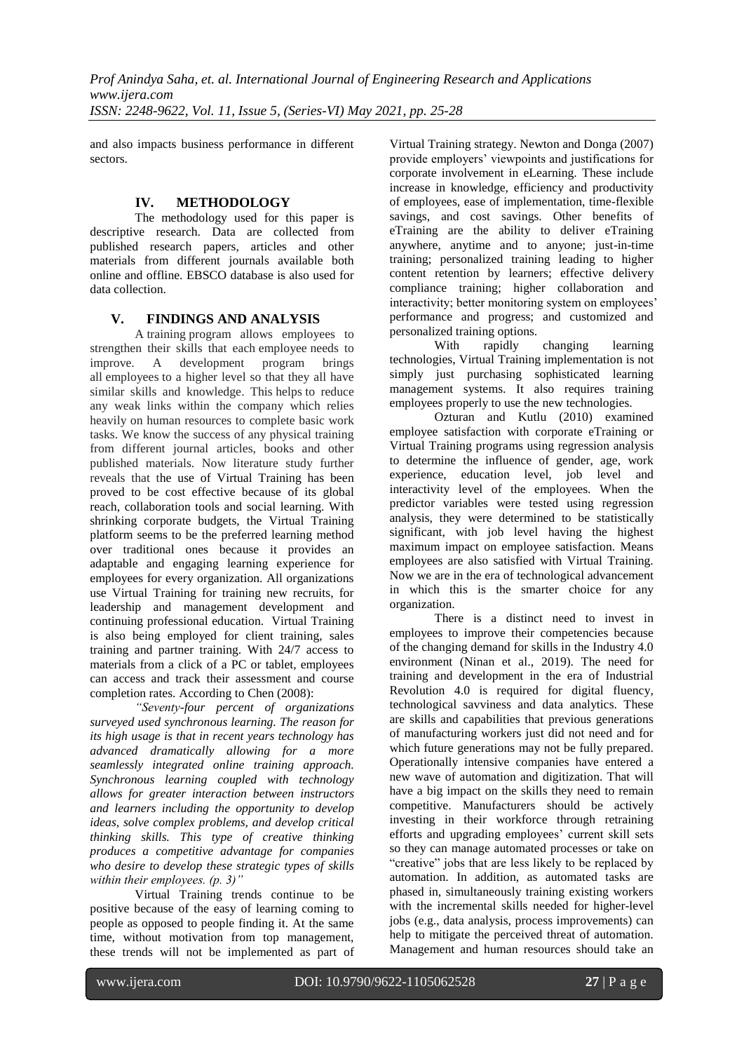and also impacts business performance in different sectors.

## **IV. METHODOLOGY**

The methodology used for this paper is descriptive research. Data are collected from published research papers, articles and other materials from different journals available both online and offline. EBSCO database is also used for data collection.

### **V. FINDINGS AND ANALYSIS**

A training program allows employees to strengthen their skills that each employee needs to improve. A development program brings all employees to a higher level so that they all have similar skills and knowledge. This helps to reduce any weak links within the company which relies heavily on human resources to complete basic work tasks. We know the success of any physical training from different journal articles, books and other published materials. Now literature study further reveals that the use of Virtual Training has been proved to be cost effective because of its global reach, collaboration tools and social learning. With shrinking corporate budgets, the Virtual Training platform seems to be the preferred learning method over traditional ones because it provides an adaptable and engaging learning experience for employees for every organization. All organizations use Virtual Training for training new recruits, for leadership and management development and continuing professional education. Virtual Training is also being employed for client training, sales training and partner training. With 24/7 access to materials from a click of a PC or tablet, employees can access and track their assessment and course completion rates. According to Chen (2008):

*"Seventy-four percent of organizations surveyed used synchronous learning. The reason for its high usage is that in recent years technology has advanced dramatically allowing for a more seamlessly integrated online training approach. Synchronous learning coupled with technology allows for greater interaction between instructors and learners including the opportunity to develop ideas, solve complex problems, and develop critical thinking skills. This type of creative thinking produces a competitive advantage for companies who desire to develop these strategic types of skills within their employees. (p. 3)"*

Virtual Training trends continue to be positive because of the easy of learning coming to people as opposed to people finding it. At the same time, without motivation from top management, these trends will not be implemented as part of Virtual Training strategy. Newton and Donga (2007) provide employers' viewpoints and justifications for corporate involvement in eLearning. These include increase in knowledge, efficiency and productivity of employees, ease of implementation, time-flexible savings, and cost savings. Other benefits of eTraining are the ability to deliver eTraining anywhere, anytime and to anyone; just-in-time training; personalized training leading to higher content retention by learners; effective delivery compliance training; higher collaboration and interactivity; better monitoring system on employees' performance and progress; and customized and personalized training options.

With rapidly changing learning technologies, Virtual Training implementation is not simply just purchasing sophisticated learning management systems. It also requires training employees properly to use the new technologies.

Ozturan and Kutlu (2010) examined employee satisfaction with corporate eTraining or Virtual Training programs using regression analysis to determine the influence of gender, age, work experience, education level, job level and interactivity level of the employees. When the predictor variables were tested using regression analysis, they were determined to be statistically significant, with job level having the highest maximum impact on employee satisfaction. Means employees are also satisfied with Virtual Training. Now we are in the era of technological advancement in which this is the smarter choice for any organization.

There is a distinct need to invest in employees to improve their competencies because of the changing demand for skills in the Industry 4.0 environment (Ninan et al., 2019). The need for training and development in the era of Industrial Revolution 4.0 is required for digital fluency, technological savviness and data analytics. These are skills and capabilities that previous generations of manufacturing workers just did not need and for which future generations may not be fully prepared. Operationally intensive companies have entered a new wave of automation and digitization. That will have a big impact on the skills they need to remain competitive. Manufacturers should be actively investing in their workforce through retraining efforts and upgrading employees' current skill sets so they can manage automated processes or take on "creative" jobs that are less likely to be replaced by automation. In addition, as automated tasks are phased in, simultaneously training existing workers with the incremental skills needed for higher-level jobs (e.g., data analysis, process improvements) can help to mitigate the perceived threat of automation. Management and human resources should take an